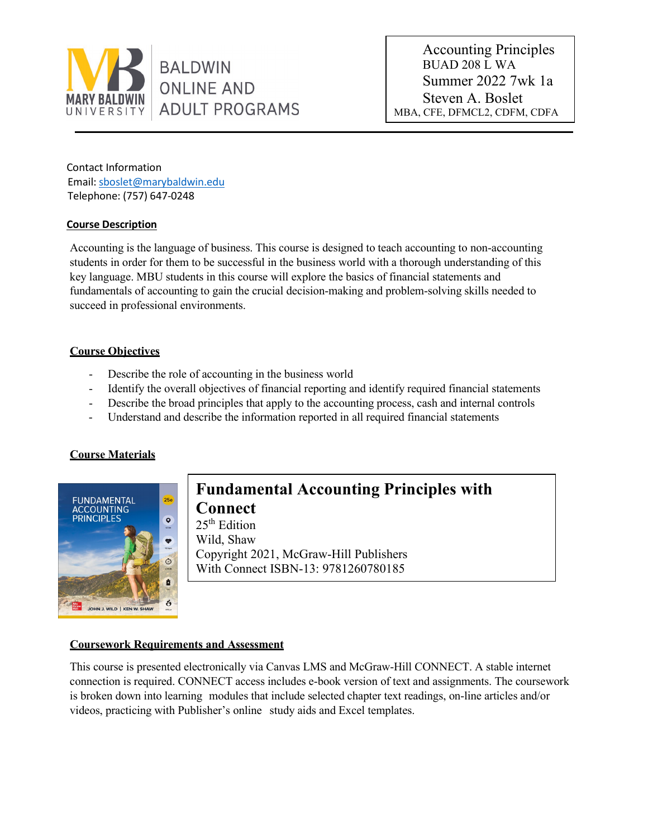

Accounting Principles BUAD 208 L WA Summer 2022 7wk 1a Steven A. Boslet MBA, CFE, DFMCL2, CDFM, CDFA

Contact Information Email: sboslet@marybaldwin.edu Telephone: (757) 647-0248

### **Course Description**

Accounting is the language of business. This course is designed to teach accounting to non-accounting students in order for them to be successful in the business world with a thorough understanding of this key language. MBU students in this course will explore the basics of financial statements and fundamentals of accounting to gain the crucial decision-making and problem-solving skills needed to succeed in professional environments.

## **Course Objectives**

- Describe the role of accounting in the business world
- Identify the overall objectives of financial reporting and identify required financial statements
- Describe the broad principles that apply to the accounting process, cash and internal controls
- Understand and describe the information reported in all required financial statements

# **Course Materials**



# **Fundamental Accounting Principles with Connect**

 $25<sup>th</sup>$  Edition Wild, Shaw Copyright 2021, McGraw-Hill Publishers With Connect ISBN-13: 9781260780185

#### **Coursework Requirements and Assessment**

This course is presented electronically via Canvas LMS and McGraw-Hill CONNECT. A stable internet connection is required. CONNECT access includes e-book version of text and assignments. The coursework is broken down into learning modules that include selected chapter text readings, on-line articles and/or videos, practicing with Publisher's online study aids and Excel templates.